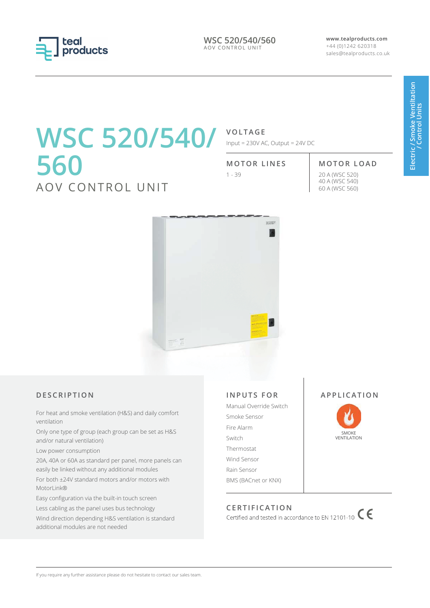

**WSC 520/540/560** AOV CONTROL UNIT

**www.tealproducts.com** +44 (0)1242 620318 sales@tealproducts.co.uk

# **WSC 520/540/ VOLTAGE 560** AOV CONTROL UNIT

Input = 230V AC, Output = 24V DC

#### **MOTOR LINES MOTOR LOAD**

1 - 39 20 A (WSC 520) 40 A (WSC 540) 60 A (WSC 560)



### **D E S C R I P T I O N**

For heat and smoke ventilation (H&S) and daily comfort ventilation

Only one type of group (each group can be set as H&S and/or natural ventilation)

Low power consumption

20A, 40A or 60A as standard per panel, more panels can easily be linked without any additional modules

For both ±24V standard motors and/or motors with MotorLink®

Easy configuration via the built-in touch screen

Less cabling as the panel uses bus technology

Wind direction depending H&S ventilation is standard additional modules are not needed

### **INPUTS FOR**

Manual Override Switch Smoke Sensor Fire Alarm Switch Thermostat Wind Sensor Rain Sensor BMS (BACnet or KNX)

### **APPLICATION**



CERTIFICATION<br>Certified and tested in accordance to EN 12101-10 **CE**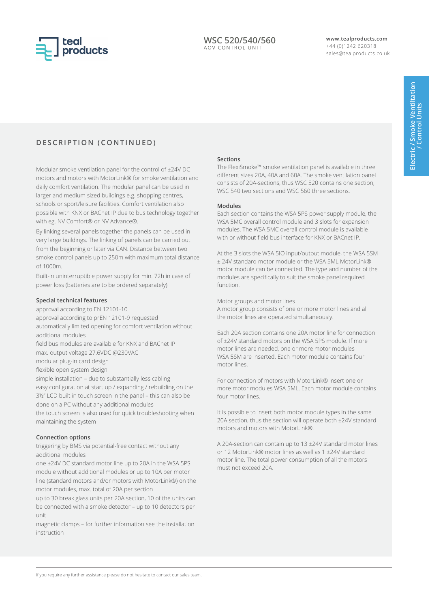

### **D E S C R I P T I O N ( C O N T I N U E D )**

Modular smoke ventilation panel for the control of ±24V DC motors and motors with MotorLink® for smoke ventilation and daily comfort ventilation. The modular panel can be used in larger and medium sized buildings e.g. shopping centres, schools or sport/leisure facilities. Comfort ventilation also possible with KNX or BACnet IP due to bus technology together with eg. NV Comfort® or NV Advance®.

By linking several panels together the panels can be used in very large buildings. The linking of panels can be carried out from the beginning or later via CAN. Distance between two smoke control panels up to 250m with maximum total distance of 1000m.

Built-in uninterruptible power supply for min. 72h in case of power loss (batteries are to be ordered separately).

#### **Special technical features**

approval according to EN 12101-10 approval according to prEN 12101-9 requested automatically limited opening for comfort ventilation without additional modules field bus modules are available for KNX and BACnet IP max. output voltage 27.6VDC @230VAC modular plug-in card design flexible open system design simple installation – due to substantially less cabling easy configuration at start up / expanding / rebuilding on the 3½" LCD built in touch screen in the panel – this can also be done on a PC without any additional modules the touch screen is also used for quick troubleshooting when

maintaining the system

#### **Connection options**

triggering by BMS via potential-free contact without any additional modules

one ±24V DC standard motor line up to 20A in the WSA 5PS module without additional modules or up to 10A per motor line (standard motors and/or motors with MotorLink®) on the motor modules, max. total of 20A per section

up to 30 break glass units per 20A section, 10 of the units can be connected with a smoke detector – up to 10 detectors per unit

magnetic clamps – for further information see the installation instruction

#### **Sections**

The FlexiSmoke™ smoke ventilation panel is available in three different sizes 20A, 40A and 60A. The smoke ventilation panel consists of 20A-sections, thus WSC 520 contains one section, WSC 540 two sections and WSC 560 three sections.

#### **Modules**

Each section contains the WSA 5PS power supply module, the WSA 5MC overall control module and 3 slots for expansion modules. The WSA 5MC overall control module is available with or without field bus interface for KNX or BACnet IP.

At the 3 slots the WSA 5IO input/output module, the WSA 5SM ± 24V standard motor module or the WSA 5ML MotorLink® motor module can be connected. The type and number of the modules are specifically to suit the smoke panel required function.

Motor groups and motor lines

A motor group consists of one or more motor lines and all the motor lines are operated simultaneously.

Each 20A section contains one 20A motor line for connection of ±24V standard motors on the WSA 5PS module. If more motor lines are needed, one or more motor modules WSA 5SM are inserted. Each motor module contains four motor lines.

For connection of motors with MotorLink® insert one or more motor modules WSA 5ML. Each motor module contains four motor lines.

It is possible to insert both motor module types in the same 20A section, thus the section will operate both ±24V standard motors and motors with MotorLink®.

A 20A-section can contain up to 13 ±24V standard motor lines or 12 MotorLink® motor lines as well as 1 ±24V standard motor line. The total power consumption of all the motors must not exceed 20A.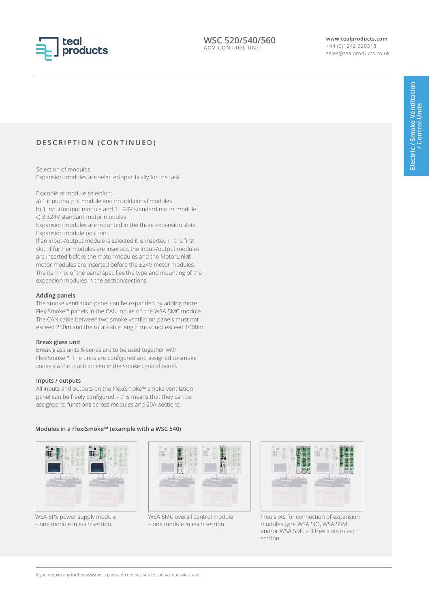

### **D E S C R I P T I O N ( C O N T I N U E D )**

Selection of modules Expansion modules are selected specifically for the task.

Example of module selection:

a) 1 input/output module and no additional modules b) 1 input/output module and 1 ±24V standard motor module

c) 3 ±24V standard motor modules

Expansion modules are mounted in the three expansion slots. Expansion module position:

If an input-/output module is selected it is inserted in the first slot. If further modules are inserted, the input-/output modules are inserted before the motor modules and the MotorLink® motor modules are inserted before the ±24V motor modules. The item no. of the panel specifies the type and mounting of the expansion modules in the section/sections

#### **Adding panels**

The smoke ventilation panel can be expanded by adding more FlexiSmoke™ panels in the CAN inputs on the WSA 5MC module. The CAN cable between two smoke ventilation panels must not exceed 250m and the total cable length must not exceed 1000m.

#### **Break glass unit**

Break glass units 5-series are to be used together with FlexiSmoke™. The units are configured and assigned to smoke zones via the touch screen in the smoke control panel.

#### **Inputs / outputs**

All inputs and outputs on the FlexiSmoke™ smoke ventilation panel can be freely configured – this means that they can be assigned to functions across modules and 20A-sections.

#### **Modules in a FlexiSmoke™ (example with a WSC 540)**



WSA 5PS power supply module – one module in each section



WSA 5MC overall control module – one module in each section



Free slots for connection of expansion modules type WSA 5IO, WSA 5SM and/or WSA 5ML – 3 free slots in each section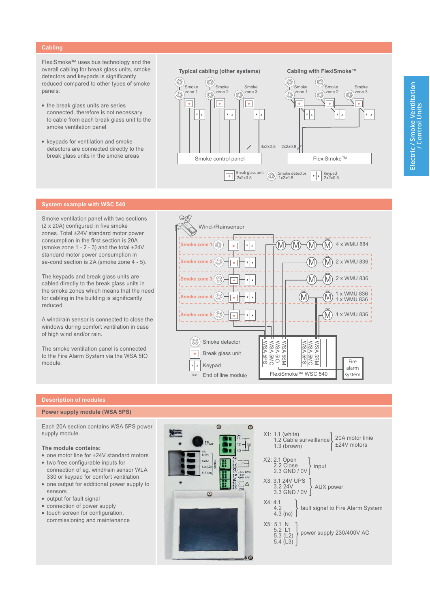#### Cabling

FlexiSmoke™ uses bus technology and the overall cabling for break glass units, smoke detectors and keypads is significantly reduced compared to other types of smoke panels:

- the break glass units are series connected, therefore is not necessary to cable from each break glass unit to the smoke ventilation panel
- keypads for ventilation and smoke detectors are connected directly to the break glass units in the smoke areas



#### **System example with WSC 540**

Smoke ventilation panel with two sections (2 x 20A) configured in five smoke zones. Total ±24V standard motor power consumption in the first section is 20A (smoke zone  $1 - 2 - 3$ ) and the total  $\pm 24$ V standard motor power consumption in se-cond section is 2A (smoke zone 4 - 5).

The keypads and break glass units are cabled directly to the break glass units in the smoke zones which means that the need for cabling in the building is significantly reduced.

A wind/rain sensor is connected to close the windows during comfort ventilation in case of high wind and/or rain.

The smoke ventilation panel is connected to the Fire Alarm System via the WSA 5IO module.



#### **Description of modules**

#### Power supply module (WSA 5PS)

Each 20A section contains WSA 5PS power supply module.

#### The module contains:

- one motor line for ±24V standard motors
- two free configurable inputs for connection of eg. wind/rain sensor WLA 330 or keypad for comfort ventilation
- one output for additional power supply to sensors
- · output for fault signal
- connection of power supply
- touch screen for configuration. commissioning and maintenance



| X1: 1.1 (white)<br>1.2 Cable surveillance 20A motor linie<br>1.3 (brown) $\left\{\n\begin{array}{l}\n20A \text{ motor line} \\ 224V \text{ motors}\n\end{array}\n\right.$ |
|---------------------------------------------------------------------------------------------------------------------------------------------------------------------------|
| X2: 2.1 Open<br>2.2 Close<br>2.3 GND / 0V input                                                                                                                           |
| X3: 3.1 24V UPS<br>3.2 24V<br>3.3 GND / 0V   AUX power                                                                                                                    |
| X4: 4.1<br>4.2<br>4.3 (nc) $\Big\}$ fault signal to Fire Alarm System                                                                                                     |
| X5: 5.1 N<br>5.2 L1<br>5.3 (L2) power supply 230/400V AC<br>5.4 (L3)                                                                                                      |
|                                                                                                                                                                           |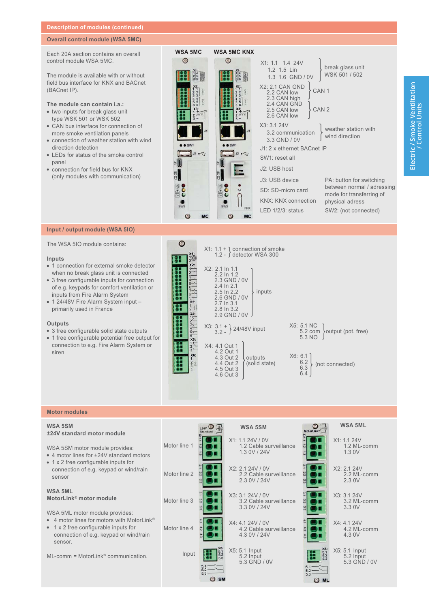#### **Description of modules (continued)**

#### **Overall control module (WSA 5MC)**

Each 20A section contains an overall control module WSA 5MC.

The module is available with or without field bus interface for KNX and BACnet (BACnet IP).

#### The module can contain i.a.:

- · two inputs for break glass unit type WSK 501 or WSK 502
- CAN bus interface for connection of more smoke ventilation panels
- connection of weather station with wind direction detection
- LEDs for status of the smoke control panel
- · connection for field bus for KNX (only modules with communication)

| <b>WSA 5MC</b>  | <b>WSA 5MC KNX</b>            |                                                                                                                                            |                                             |
|-----------------|-------------------------------|--------------------------------------------------------------------------------------------------------------------------------------------|---------------------------------------------|
| ⊙<br>回回         | ⊙<br>回回                       | X1: 1.1 1.4 24V<br>1.2 1.5 Lin<br>1.3 1.6 GND / 0V                                                                                         | break glass unit<br>WSK 501 / 502           |
|                 |                               | <b>X2: 2.1 CAN GND</b><br>CAN <sub>1</sub><br>2.2 CAN low<br>2.3 CAN high<br>2.4 CAN GND<br>CAN <sub>2</sub><br>2.5 CAN low<br>2.6 CAN low |                                             |
|                 |                               | X3: 3.1 24V<br>3.2 communication<br>3.3 GND / 0V                                                                                           | weather station with<br>wind direction      |
|                 |                               | J1: 2 x ethernet BACnet IP                                                                                                                 |                                             |
|                 | $32\n-2$                      | SW1: reset all                                                                                                                             |                                             |
|                 |                               | J2: USB host                                                                                                                               |                                             |
|                 |                               | J3: USB device                                                                                                                             | PA: button for switching                    |
|                 | PA                            | SD: SD-micro card                                                                                                                          | between normal / adressing                  |
|                 |                               | <b>KNX: KNX connection</b>                                                                                                                 | mode for transferring of<br>physical adress |
| SW <sub>2</sub> | SW <sub>2</sub><br><b>KNX</b> | $LED \frac{1}{2}{3}$ : status                                                                                                              | SW2: (not connected)                        |
|                 | <b>MC</b>                     |                                                                                                                                            |                                             |

#### Input / output module (WSA 5IO)

The WSA 5IO module contains:

#### Inputs

- 1 connection for external smoke detector when no break glass unit is connected
- 3 free configurable inputs for connection of e.g. keypads for comfort ventilation or inputs from Fire Alarm System
- 1 24/48V Fire Alarm System input primarily used in France

#### Outputs

- 3 free configurable solid state outputs
- 1 free configurable potential free output for connection to e.g. Fire Alarm System or siren

| X <sub>1</sub><br>$X2$ :<br>$R-$<br>$\Omega$<br>$X3$ :                            | $X1: 1.1 + \iota$ connection of smoke<br>1.2 - $\int$ detector WSA 300<br>X2: 2.1 In 1.1<br>2.2 In 1.2<br>2.3 GND / 0V<br>2.4 In 2.1<br>$2.5 \ln 2.2$<br>inputs<br>2.6 GND / 0V<br>2.7 In 3.1<br>2.8 In 3.2                         |                                                                                                                    |
|-----------------------------------------------------------------------------------|-------------------------------------------------------------------------------------------------------------------------------------------------------------------------------------------------------------------------------------|--------------------------------------------------------------------------------------------------------------------|
| X4:<br>$2^{\mathsf{L}}$<br>$rac{3}{4}$<br>$5\overline{6}$<br>X6:<br>$\frac{2}{3}$ | 2.9 GND / 0V<br>$\left\{\n \begin{array}{c}\n 2.3.1 + 2.448V \\  3.2 - 3.2448V\n \end{array}\n \right\}$ 24/48V input<br>X4: 4.1 Out 1<br>4.2 Out 1<br>4.3 Out 2<br>outputs<br>4.4 Out 2<br>(solid state)<br>4.5 Out 3<br>4.6 Out 3 | X5: 5.1 NC<br>output (pot. free)<br>$5.2 \text{ com}$<br>5.3 NO<br>X6: 6.1<br>6.2<br>(not connected)<br>6.3<br>6.4 |

#### **Motor modules**

|              | <b>WSA 5SM</b>                                             | MotorLink <sup>**</sup>           | <b>WSA 5ML</b>                             |
|--------------|------------------------------------------------------------|-----------------------------------|--------------------------------------------|
| Motor line 1 | X1: 1.1 24V / 0V<br>1.2 Cable surveillance<br>1.3 0V / 24V |                                   | X1: 1.1 24V<br>1.2 ML-comm<br>1.3 0V       |
| Motor line 2 | X2: 2.1 24V / 0V<br>2.2 Cable surveillance<br>2.3 0V / 24V |                                   | X2: 2.1 24V<br>2.2 ML-comm<br>2.3 0V       |
| Motor line 3 | X3: 3.1 24V / 0V<br>3.2 Cable surveillance<br>3.3 0V / 24V |                                   | X3: 3.1 24V<br>3.2 ML-comm<br>3.3 0V       |
| Motor line 4 | X4: 4.1 24V / 0V<br>4.2 Cable surveillance<br>4.3 0V / 24V |                                   | X4: 4.1 24V<br>4.2 ML-comm<br>4.3 0V       |
| Input        | X5: 5.1 Input<br>5.2 Input<br>5.3 GND / 0V                 | $X5.1$<br>$5.1$<br>$5.2$<br>$5.3$ | X5: 5.1 Input<br>5.2 Input<br>5.3 GND / 0V |
|              | C SM                                                       |                                   |                                            |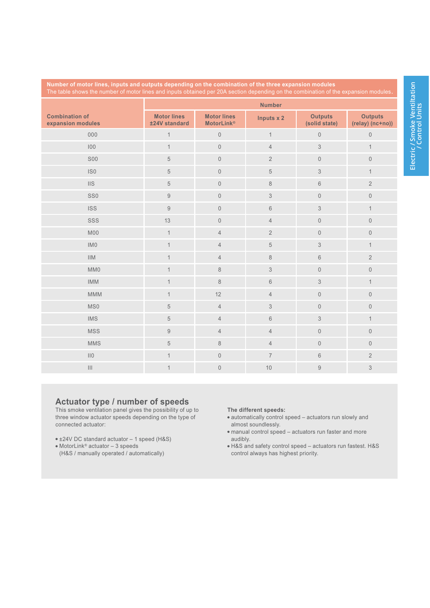| Number of motor lines, inputs and outputs depending on the combination of the three expansion modules<br>The table shows the number of motor lines and inputs obtained per 20A section depending on the combination of the expansion modules. |                                     |                                         |                |                                 |                                    |
|-----------------------------------------------------------------------------------------------------------------------------------------------------------------------------------------------------------------------------------------------|-------------------------------------|-----------------------------------------|----------------|---------------------------------|------------------------------------|
|                                                                                                                                                                                                                                               | <b>Number</b>                       |                                         |                |                                 |                                    |
| <b>Combination of</b><br>expansion modules                                                                                                                                                                                                    | <b>Motor lines</b><br>±24V standard | <b>Motor lines</b><br><b>MotorLink®</b> | Inputs x 2     | <b>Outputs</b><br>(solid state) | <b>Outputs</b><br>(relay) (nc+no)) |
| 000                                                                                                                                                                                                                                           | $\mathbf{1}$                        | $\mathbb O$                             | $\mathbf{1}$   | $\mathbf 0$                     | $\mathsf{O}\xspace$                |
| 100                                                                                                                                                                                                                                           | $\mathbf{1}$                        | $\mathbf 0$                             | $\overline{4}$ | $\mathfrak{Z}$                  | $\mathbf{1}$                       |
| <b>S00</b>                                                                                                                                                                                                                                    | $\sqrt{5}$                          | $\mathbf 0$                             | $\overline{2}$ | $\mathbb O$                     | $\mathsf{O}\xspace$                |
| IS <sub>0</sub>                                                                                                                                                                                                                               | $\sqrt{5}$                          | $\mathbf 0$                             | $\sqrt{5}$     | $\ensuremath{\mathsf{3}}$       | $\mathbf{1}$                       |
| IIS                                                                                                                                                                                                                                           | $5\,$                               | $\mathbf 0$                             | $\,8\,$        | $6\,$                           | $\overline{2}$                     |
| SS0                                                                                                                                                                                                                                           | $\hbox{g}$                          | $\mathbf 0$                             | $\mathfrak{S}$ | $\mathbb O$                     | $\mathsf{O}\xspace$                |
| <b>ISS</b>                                                                                                                                                                                                                                    | $\boldsymbol{9}$                    | $\mathbf 0$                             | $\,6$          | $\ensuremath{\mathsf{3}}$       | $\mathbf{1}$                       |
| SSS                                                                                                                                                                                                                                           | 13                                  | $\mathbf 0$                             | $\overline{4}$ | $\mathbb O$                     | $\mathsf{O}\xspace$                |
| <b>M00</b>                                                                                                                                                                                                                                    | $\mathbf{1}$                        | $\overline{4}$                          | $\overline{2}$ | $\mathbf 0$                     | $\mathsf{O}\xspace$                |
| IMO                                                                                                                                                                                                                                           | $\mathbf{1}$                        | $\overline{4}$                          | $\,$ 5 $\,$    | $\ensuremath{\mathsf{3}}$       | $\mathbf{1}$                       |
| IIIM                                                                                                                                                                                                                                          | $\mathbf{1}$                        | $\overline{4}$                          | $\,8\,$        | $6\,$                           | $\overline{2}$                     |
| MM0                                                                                                                                                                                                                                           | $\mathbf{1}$                        | $\,8\,$                                 | $\mathfrak{S}$ | $\mathbb O$                     | $\mathsf{O}\xspace$                |
| <b>IMM</b>                                                                                                                                                                                                                                    | $\mathbf{1}$                        | $\,8\,$                                 | $\,6$          | $\ensuremath{\mathsf{3}}$       | $\mathbf{1}$                       |
| MMM                                                                                                                                                                                                                                           | $\mathbf{1}$                        | 12                                      | $\overline{4}$ | $\mathbb O$                     | $\mathsf{O}\xspace$                |
| MS0                                                                                                                                                                                                                                           | 5                                   | $\overline{4}$                          | $\mathfrak{Z}$ | $\mathbb O$                     | $\mathbf 0$                        |
| <b>IMS</b>                                                                                                                                                                                                                                    | $\,$ 5 $\,$                         | $\overline{4}$                          | $\,6$          | $\ensuremath{\mathsf{3}}$       | $\mathbf{1}$                       |
| <b>MSS</b>                                                                                                                                                                                                                                    | $\hbox{9}$                          | $\overline{4}$                          | $\overline{4}$ | $\mathbb O$                     | $\mathsf{O}\xspace$                |
| <b>MMS</b>                                                                                                                                                                                                                                    | $\sqrt{5}$                          | $\,8\,$                                 | $\overline{4}$ | $\mathbf 0$                     | $\overline{0}$                     |
| II0                                                                                                                                                                                                                                           | $\mathbf 1$                         | $\mathbf 0$                             | $\overline{7}$ | $6\,$                           | $\overline{2}$                     |
| $\vert\vert\vert$                                                                                                                                                                                                                             | $\mathbf{1}$                        | $\mathbf 0$                             | $10$           | $\boldsymbol{9}$                | 3                                  |

## **Actuator type / number of speeds**<br>This smoke ventilation panel gives the possibility of up to

three window actuator speeds depending on the type of connected actuator:

- ±24V DC standard actuator 1 speed (H&S)
- 
- MotorLink® actuator 3 speeds<br>(H&S / manually operated / automatically)

#### The different speeds:

- · automatically control speed actuators run slowly and almost soundlessly.
- · manual control speed actuators run faster and more audibly.
- H&S and safety control speed actuators run fastest. H&S<br>control always has highest priority.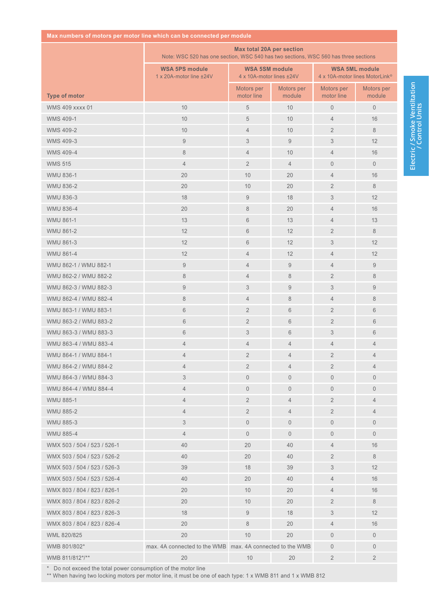|  | Max numbers of motors per motor line which can be connected per module |  |  |  |
|--|------------------------------------------------------------------------|--|--|--|
|--|------------------------------------------------------------------------|--|--|--|

|                             | Max total 20A per section<br>Note: WSC 520 has one section, WSC 540 has two sections, WSC 560 has three sections |                                                   |                      |                                                                     |                      |
|-----------------------------|------------------------------------------------------------------------------------------------------------------|---------------------------------------------------|----------------------|---------------------------------------------------------------------|----------------------|
|                             | <b>WSA 5PS module</b><br>1 x 20A-motor line ±24V                                                                 | <b>WSA 5SM module</b><br>4 x 10A-motor lines ±24V |                      | <b>WSA 5ML module</b><br>4 x 10A-motor lines MotorLink <sup>®</sup> |                      |
| <b>Type of motor</b>        |                                                                                                                  | Motors per<br>motor line                          | Motors per<br>module | Motors per<br>motor line                                            | Motors per<br>module |
| <b>WMS 409 xxxx 01</b>      | 10                                                                                                               | 5                                                 | 10                   | $\mathbf 0$                                                         | $\mathbf 0$          |
| <b>WMS 409-1</b>            | 10                                                                                                               | 5                                                 | 10                   | $\overline{4}$                                                      | 16                   |
| <b>WMS 409-2</b>            | 10                                                                                                               | $\overline{4}$                                    | 10                   | $\overline{2}$                                                      | 8                    |
| <b>WMS 409-3</b>            | $\hbox{9}$                                                                                                       | 3                                                 | $\boldsymbol{9}$     | 3                                                                   | 12                   |
| <b>WMS 409-4</b>            | 8                                                                                                                | $\overline{4}$                                    | 10                   | $\overline{4}$                                                      | 16                   |
| <b>WMS 515</b>              | $\overline{4}$                                                                                                   | $\overline{2}$                                    | $\overline{4}$       | $\overline{0}$                                                      | $\overline{0}$       |
| WMU 836-1                   | 20                                                                                                               | 10                                                | 20                   | $\overline{4}$                                                      | 16                   |
| <b>WMU 836-2</b>            | 20                                                                                                               | 10                                                | 20                   | $\overline{2}$                                                      | 8                    |
| <b>WMU 836-3</b>            | 18                                                                                                               | $\overline{9}$                                    | 18                   | 3                                                                   | 12                   |
| <b>WMU 836-4</b>            | 20                                                                                                               | 8                                                 | 20                   | $\overline{4}$                                                      | 16                   |
| <b>WMU 861-1</b>            | 13                                                                                                               | 6                                                 | 13                   | $\overline{4}$                                                      | 13                   |
| <b>WMU 861-2</b>            | 12                                                                                                               | 6                                                 | 12                   | $\overline{2}$                                                      | 8                    |
| <b>WMU 861-3</b>            | 12                                                                                                               | 6                                                 | 12                   | 3                                                                   | 12                   |
| <b>WMU 861-4</b>            | 12                                                                                                               | $\overline{4}$                                    | 12                   | $\overline{4}$                                                      | 12                   |
| WMU 862-1 / WMU 882-1       | $\hbox{9}$                                                                                                       | $\overline{4}$                                    | $9\,$                | $\overline{4}$                                                      | $\boldsymbol{9}$     |
| WMU 862-2 / WMU 882-2       | 8                                                                                                                | $\overline{4}$                                    | $\,8\,$              | $\overline{2}$                                                      | 8                    |
| WMU 862-3 / WMU 882-3       | $\boldsymbol{9}$                                                                                                 | 3                                                 | $\boldsymbol{9}$     | 3                                                                   | $\boldsymbol{9}$     |
| WMU 862-4 / WMU 882-4       | 8                                                                                                                | $\overline{4}$                                    | 8                    | $\overline{4}$                                                      | 8                    |
| WMU 863-1 / WMU 883-1       | 6                                                                                                                | $\overline{2}$                                    | $6\phantom{1}$       | $\overline{2}$                                                      | 6                    |
| WMU 863-2 / WMU 883-2       | 6                                                                                                                | $\overline{2}$                                    | 6                    | $\overline{2}$                                                      | 6                    |
| WMU 863-3 / WMU 883-3       | 6                                                                                                                | 3                                                 | 6                    | 3                                                                   | 6                    |
| WMU 863-4 / WMU 883-4       | $\overline{4}$                                                                                                   | $\overline{4}$                                    | $\overline{4}$       | $\overline{4}$                                                      | $\overline{4}$       |
| WMU 864-1 / WMU 884-1       | 4                                                                                                                | $\overline{2}$                                    | $\overline{4}$       | $\overline{2}$                                                      | $\overline{4}$       |
| WMU 864-2 / WMU 884-2       | 4                                                                                                                | $\overline{2}$                                    | $\overline{4}$       | $\overline{2}$                                                      | $\overline{4}$       |
| WMU 864-3 / WMU 884-3       | 3                                                                                                                | $\mathbf 0$                                       | $\overline{0}$       | $\overline{0}$                                                      | $\overline{0}$       |
| WMU 864-4 / WMU 884-4       | $\overline{4}$                                                                                                   | $\mathbf 0$                                       | $\overline{0}$       | $\overline{0}$                                                      | $\overline{0}$       |
| <b>WMU 885-1</b>            | $\overline{4}$                                                                                                   | $\overline{2}$                                    | $\overline{4}$       | $\overline{2}$                                                      | $\overline{4}$       |
| <b>WMU 885-2</b>            | 4                                                                                                                | $\overline{2}$                                    | $\overline{4}$       | $\overline{2}$                                                      | 4                    |
| <b>WMU 885-3</b>            | 3                                                                                                                | $\mathbf 0$                                       | $\overline{0}$       | $\mathbf 0$                                                         | $\overline{0}$       |
| <b>WMU 885-4</b>            | $\overline{4}$                                                                                                   | $\mathbf 0$                                       | $\mathbf{0}$         | $\overline{0}$                                                      | $\overline{0}$       |
| WMX 503 / 504 / 523 / 526-1 | 40                                                                                                               | 20                                                | 40                   | 4                                                                   | 16                   |
| WMX 503 / 504 / 523 / 526-2 | 40                                                                                                               | 20                                                | 40                   | $\overline{2}$                                                      | 8                    |
| WMX 503 / 504 / 523 / 526-3 | 39                                                                                                               | 18                                                | 39                   | 3                                                                   | 12                   |
| WMX 503 / 504 / 523 / 526-4 | 40                                                                                                               | 20                                                | 40                   | 4                                                                   | 16                   |
| WMX 803 / 804 / 823 / 826-1 | 20                                                                                                               | 10                                                | 20                   | 4                                                                   | 16                   |
| WMX 803 / 804 / 823 / 826-2 | 20                                                                                                               | 10 <sup>°</sup>                                   | 20                   | $\overline{2}$                                                      | 8                    |
| WMX 803 / 804 / 823 / 826-3 | 18                                                                                                               | 9                                                 | 18                   | 3                                                                   | 12                   |
| WMX 803 / 804 / 823 / 826-4 | 20                                                                                                               | 8                                                 | 20                   | 4                                                                   | 16                   |
| WML 820/825                 | 20                                                                                                               | 10                                                | 20                   | $\overline{0}$                                                      | $\overline{0}$       |
| WMB 801/802*                | max. 4A connected to the WMB max. 4A connected to the WMB                                                        |                                                   |                      | $\overline{0}$                                                      | $\overline{0}$       |
| WMB 811/812*/**             | 20                                                                                                               | 10                                                | 20                   | $\overline{2}$                                                      | $\overline{2}$       |

\* Do not exceed the total power consumption of the motor line<br>\*\* When having two locking motors per motor line, it must be one of each type: 1 x WMB 811 and 1 x WMB 812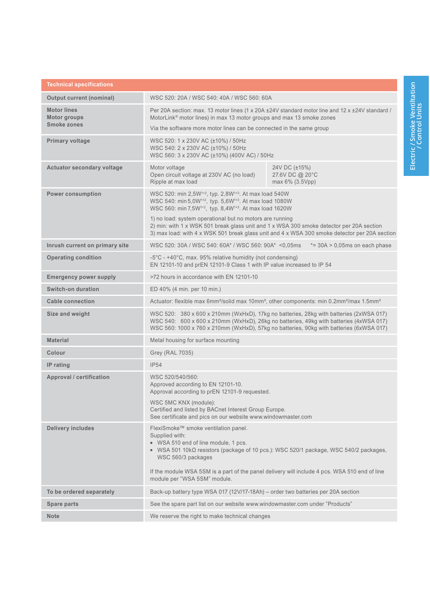| <b>Technical specifications</b>    |                                                                                                                                                                                                                                                                                                                                                        |                                                                                                                                                                                           |  |  |
|------------------------------------|--------------------------------------------------------------------------------------------------------------------------------------------------------------------------------------------------------------------------------------------------------------------------------------------------------------------------------------------------------|-------------------------------------------------------------------------------------------------------------------------------------------------------------------------------------------|--|--|
| <b>Output current (nominal)</b>    | WSC 520: 20A / WSC 540: 40A / WSC 560: 60A                                                                                                                                                                                                                                                                                                             |                                                                                                                                                                                           |  |  |
| <b>Motor lines</b><br>Motor groups | Per 20A section: max. 13 motor lines (1 x 20A ± 24V standard motor line and 12 x ± 24V standard /<br>MotorLink <sup>®</sup> motor lines) in max 13 motor groups and max 13 smoke zones                                                                                                                                                                 |                                                                                                                                                                                           |  |  |
| <b>Smoke zones</b>                 | Via the software more motor lines can be connected in the same group                                                                                                                                                                                                                                                                                   |                                                                                                                                                                                           |  |  |
| Primary voltage                    | WSC 520: 1 x 230V AC (±10%) / 50Hz<br>WSC 540: 2 x 230V AC (±10%) / 50Hz<br>WSC 560: 3 x 230V AC (±10%) (400V AC) / 50Hz                                                                                                                                                                                                                               |                                                                                                                                                                                           |  |  |
| <b>Actuator secondary voltage</b>  | Motor voltage<br>Open circuit voltage at 230V AC (no load)<br>Ripple at max load                                                                                                                                                                                                                                                                       | 24V DC (±15%)<br>27.6V DC @ 20°C<br>max 6% (3.5Vpp)                                                                                                                                       |  |  |
| <b>Power consumption</b>           | WSC 520: min 2,5W <sup>1+2</sup> , typ. 2,8W <sup>1+3</sup> . At max load 540W<br>WSC 540: min 5,0W <sup>1+2</sup> , typ. 5,6W <sup>1+3</sup> . At max load 1080W<br>WSC 560: min 7,5W <sup>1+2</sup> , typ. 8,4W <sup>1+3</sup> . At max load 1620W                                                                                                   |                                                                                                                                                                                           |  |  |
|                                    | 1) no load: system operational but no motors are running                                                                                                                                                                                                                                                                                               | 2) min: with 1 x WSK 501 break glass unit and 1 x WSA 300 smoke detector per 20A section<br>3) max load: with 4 x WSK 501 break glass unit and 4 x WSA 300 smoke detector per 20A section |  |  |
| Inrush current on primary site     | WSC 520: 30A / WSC 540: 60A* / WSC 560: 90A* <0.05ms                                                                                                                                                                                                                                                                                                   | $*=30A > 0,05ms$ on each phase                                                                                                                                                            |  |  |
| <b>Operating condition</b>         | -5°C - +40°C, max. 95% relative humidity (not condensing)<br>EN 12101-10 and prEN 12101-9 Class 1 with IP value increased to IP 54                                                                                                                                                                                                                     |                                                                                                                                                                                           |  |  |
| <b>Emergency power supply</b>      | >72 hours in accordance with EN 12101-10                                                                                                                                                                                                                                                                                                               |                                                                                                                                                                                           |  |  |
| Switch-on duration                 | ED 40% (4 min. per 10 min.)                                                                                                                                                                                                                                                                                                                            |                                                                                                                                                                                           |  |  |
| <b>Cable connection</b>            | Actuator: flexible max 6mm <sup>2</sup> /solid max 10mm <sup>2</sup> , other components: min 0.2mm <sup>2</sup> /max 1.5mm <sup>2</sup>                                                                                                                                                                                                                |                                                                                                                                                                                           |  |  |
| Size and weight                    | WSC 520: 380 x 600 x 210mm (WxHxD), 17kg no batteries, 28kg with batteries (2xWSA 017)<br>WSC 540: 600 x 600 x 210mm (WxHxD), 26kg no batteries, 49kg with batteries (4xWSA 017)<br>WSC 560: 1000 x 760 x 210mm (WxHxD), 57kg no batteries, 90kg with batteries (6xWSA 017)                                                                            |                                                                                                                                                                                           |  |  |
| <b>Material</b>                    | Metal housing for surface mounting                                                                                                                                                                                                                                                                                                                     |                                                                                                                                                                                           |  |  |
| Colour                             | Grey (RAL 7035)                                                                                                                                                                                                                                                                                                                                        |                                                                                                                                                                                           |  |  |
| IP rating                          | <b>IP54</b>                                                                                                                                                                                                                                                                                                                                            |                                                                                                                                                                                           |  |  |
| Approval / certification           | WSC 520/540/560:<br>Approved according to EN 12101-10.<br>Approval according to prEN 12101-9 requested.                                                                                                                                                                                                                                                |                                                                                                                                                                                           |  |  |
|                                    | WSC 5MC KNX (module):<br>Certified and listed by BACnet Interest Group Europe.<br>See certificate and pics on our website www.windowmaster.com                                                                                                                                                                                                         |                                                                                                                                                                                           |  |  |
| <b>Delivery includes</b>           | FlexiSmoke™ smoke ventilation panel.<br>Supplied with:<br>• WSA 510 end of line module, 1 pcs.<br>• WSA 501 10k $\Omega$ resistors (package of 10 pcs.): WSC 520/1 package, WSC 540/2 packages,<br>WSC 560/3 packages<br>If the module WSA 5SM is a part of the panel delivery will include 4 pcs. WSA 510 end of line<br>module per "WSA 5SM" module. |                                                                                                                                                                                           |  |  |
| To be ordered separately           | Back-up battery type WSA 017 (12V/17-18Ah) - order two batteries per 20A section                                                                                                                                                                                                                                                                       |                                                                                                                                                                                           |  |  |
| Spare parts                        | See the spare part list on our website www.windowmaster.com under "Products"                                                                                                                                                                                                                                                                           |                                                                                                                                                                                           |  |  |
| <b>Note</b>                        | We reserve the right to make technical changes                                                                                                                                                                                                                                                                                                         |                                                                                                                                                                                           |  |  |